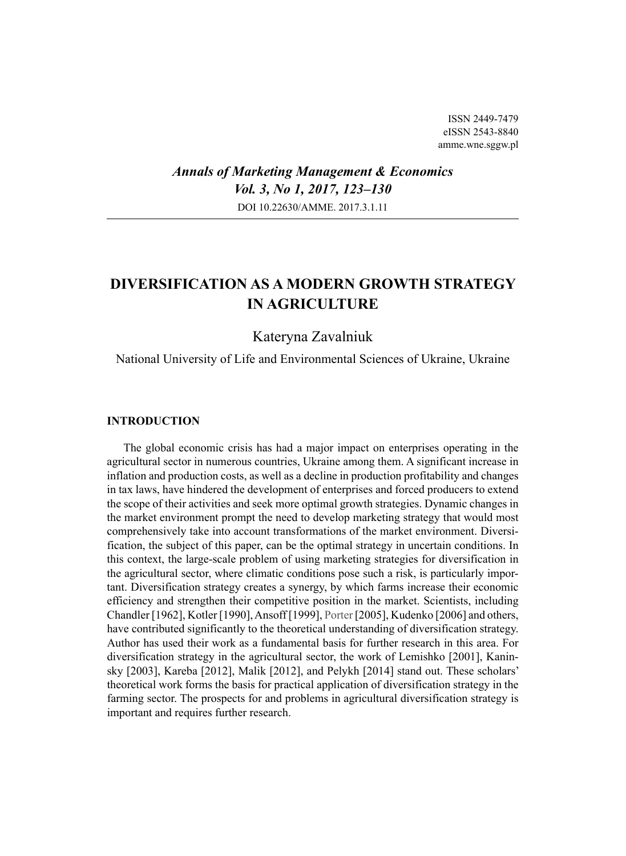ISSN 2449-7479 eISSN 2543-8840 amme.wne.sggw.pl

## *Annals of Marketing Management & Economics Vol. 3, No 1, 2017, 123–130* DOI 10.22630/AMME. 2017.3.1.11

# **DIVERSIFICATION AS A MODERN GROWTH STRATEGY IN AGRICULTURE**

## Kateryna Zavalniuk

National University of Life and Environmental Sciences of Ukraine, Ukraine

#### **INTRODUCTION**

The global economic crisis has had a major impact on enterprises operating in the agricultural sector in numerous countries, Ukraine among them. A significant increase in inflation and production costs, as well as a decline in production profitability and changes in tax laws, have hindered the development of enterprises and forced producers to extend the scope of their activities and seek more optimal growth strategies. Dynamic changes in the market environment prompt the need to develop marketing strategy that would most comprehensively take into account transformations of the market environment. Diversification, the subject of this paper, can be the optimal strategy in uncertain conditions. In this context, the large-scale problem of using marketing strategies for diversification in the agricultural sector, where climatic conditions pose such a risk, is particularly important. Diversification strategy creates a synergy, by which farms increase their economic efficiency and strengthen their competitive position in the market. Scientists, including Chandler [1962], Kotler [1990], Ansoff [1999], Porter [2005], Kudenko [2006] and others, have contributed significantly to the theoretical understanding of diversification strategy. Author has used their work as a fundamental basis for further research in this area. For diversification strategy in the agricultural sector, the work of Lemishko [2001], Kaninsky [2003], Kareba [2012], Malik [2012], and Pelykh [2014] stand out. These scholars' theoretical work forms the basis for practical application of diversification strategy in the farming sector. The prospects for and problems in agricultural diversification strategy is important and requires further research.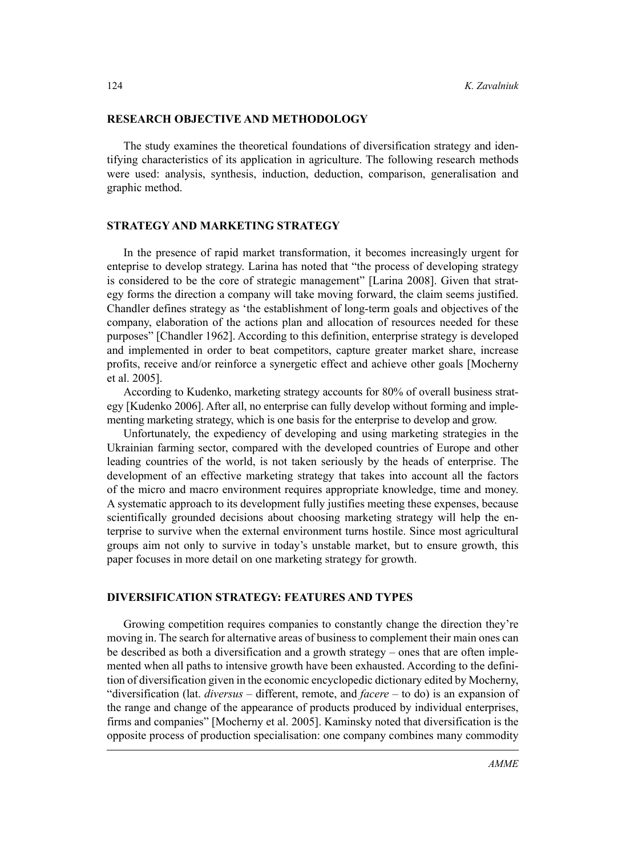#### **RESEARCH OBJECTIVE AND METHODOLOGY**

The study examines the theoretical foundations of diversification strategy and identifying characteristics of its application in agriculture. The following research methods were used: analysis, synthesis, induction, deduction, comparison, generalisation and graphic method.

### **STRATEGY AND MARKETING STRATEGY**

In the presence of rapid market transformation, it becomes increasingly urgent for enteprise to develop strategy. Larina has noted that "the process of developing strategy is considered to be the core of strategic management" [Larina 2008]. Given that strategy forms the direction a company will take moving forward, the claim seems justified. Chandler defines strategy as 'the establishment of long-term goals and objectives of the company, elaboration of the actions plan and allocation of resources needed for these purposes" [Chandler 1962]. According to this definition, enterprise strategy is developed and implemented in order to beat competitors, capture greater market share, increase profits, receive and/or reinforce a synergetic effect and achieve other goals [Mocherny et al. 2005].

According to Kudenko, marketing strategy accounts for 80% of overall business strategy [Kudenko 2006]. After all, no enterprise can fully develop without forming and implementing marketing strategy, which is one basis for the enterprise to develop and grow.

Unfortunately, the expediency of developing and using marketing strategies in the Ukrainian farming sector, compared with the developed countries of Europe and other leading countries of the world, is not taken seriously by the heads of enterprise. The development of an effective marketing strategy that takes into account all the factors of the micro and macro environment requires appropriate knowledge, time and money. A systematic approach to its development fully justifies meeting these expenses, because scientifically grounded decisions about choosing marketing strategy will help the enterprise to survive when the external environment turns hostile. Since most agricultural groups aim not only to survive in today's unstable market, but to ensure growth, this paper focuses in more detail on one marketing strategy for growth.

#### **DIVERSIFICATION STRATEGY: FEATURES AND TYPES**

Growing competition requires companies to constantly change the direction they're moving in. The search for alternative areas of business to complement their main ones can be described as both a diversification and a growth strategy – ones that are often implemented when all paths to intensive growth have been exhausted. According to the definition of diversification given in the economic encyclopedic dictionary edited by Mocherny, "diversification (lat. *diversus* – different, remote, and *facere* – to do) is an expansion of the range and change of the appearance of products produced by individual enterprises, firms and companies" [Mocherny et al. 2005]. Kaminsky noted that diversification is the opposite process of production specialisation: one company combines many commodity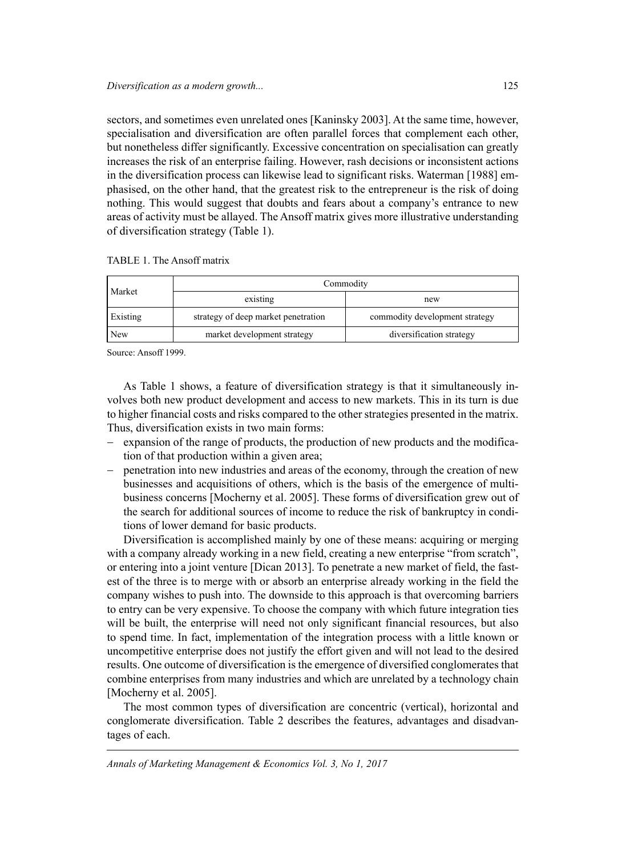sectors, and sometimes even unrelated ones [Kaninsky 2003]. At the same time, however, specialisation and diversification are often parallel forces that complement each other, but nonetheless differ significantly. Excessive concentration on specialisation can greatly increases the risk of an enterprise failing. However, rash decisions or inconsistent actions in the diversification process can likewise lead to significant risks. Waterman [1988] emphasised, on the other hand, that the greatest risk to the entrepreneur is the risk of doing nothing. This would suggest that doubts and fears about a company's entrance to new areas of activity must be allayed. The Ansoff matrix gives more illustrative understanding of diversification strategy (Table 1).

| TABLE 1. The Ansoff matrix |  |  |  |  |
|----------------------------|--|--|--|--|
|----------------------------|--|--|--|--|

| Market                                          | Commodity |                                |  |  |  |
|-------------------------------------------------|-----------|--------------------------------|--|--|--|
|                                                 | existing  | new                            |  |  |  |
| Existing<br>strategy of deep market penetration |           | commodity development strategy |  |  |  |
| market development strategy<br>New              |           | diversification strategy       |  |  |  |

Source: Ansoff 1999.

As Table 1 shows, a feature of diversification strategy is that it simultaneously involves both new product development and access to new markets. This in its turn is due to higher financial costs and risks compared to the other strategies presented in the matrix. Thus, diversification exists in two main forms:

- − expansion of the range of products, the production of new products and the modification of that production within a given area;
- − penetration into new industries and areas of the economy, through the creation of new businesses and acquisitions of others, which is the basis of the emergence of multibusiness concerns [Mocherny et al. 2005]. These forms of diversification grew out of the search for additional sources of income to reduce the risk of bankruptcy in conditions of lower demand for basic products.

Diversification is accomplished mainly by one of these means: acquiring or merging with a company already working in a new field, creating a new enterprise "from scratch", or entering into a joint venture [Dican 2013]. To penetrate a new market of field, the fastest of the three is to merge with or absorb an enterprise already working in the field the company wishes to push into. The downside to this approach is that overcoming barriers to entry can be very expensive. To choose the company with which future integration ties will be built, the enterprise will need not only significant financial resources, but also to spend time. In fact, implementation of the integration process with a little known or uncompetitive enterprise does not justify the effort given and will not lead to the desired results. One outcome of diversification is the emergence of diversified conglomerates that combine enterprises from many industries and which are unrelated by a technology chain [Mocherny et al. 2005].

The most common types of diversification are concentric (vertical), horizontal and conglomerate diversification. Table 2 describes the features, advantages and disadvantages of each.

*Annals of Marketing Management & Economics Vol. 3, No 1, 2017*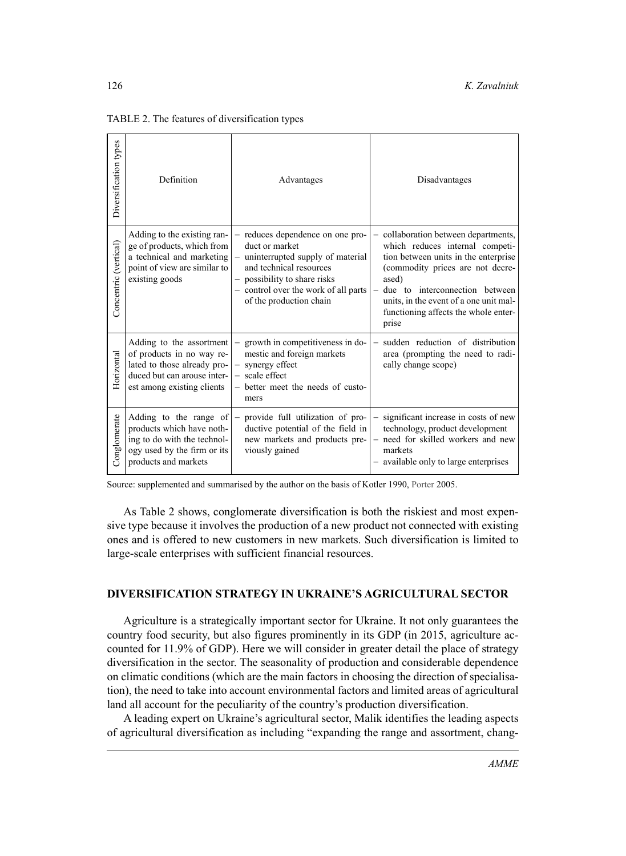| Diversification types | Definition                                                                                                                                        | Advantages                                                                                                                                                                                                           | Disadvantages                                                                                                                                                                                                                                                                             |
|-----------------------|---------------------------------------------------------------------------------------------------------------------------------------------------|----------------------------------------------------------------------------------------------------------------------------------------------------------------------------------------------------------------------|-------------------------------------------------------------------------------------------------------------------------------------------------------------------------------------------------------------------------------------------------------------------------------------------|
| Concentric (vertical) | Adding to the existing ran-<br>ge of products, which from<br>a technical and marketing<br>point of view are similar to<br>existing goods          | - reduces dependence on one pro-<br>duct or market<br>uninterrupted supply of material<br>and technical resources<br>- possibility to share risks<br>- control over the work of all parts<br>of the production chain | - collaboration between departments,<br>which reduces internal competi-<br>tion between units in the enterprise<br>(commodity prices are not decre-<br>ased)<br>due to interconnection between<br>units, in the event of a one unit mal-<br>functioning affects the whole enter-<br>prise |
| Horizontal            | Adding to the assortment<br>of products in no way re-<br>lated to those already pro-<br>duced but can arouse inter-<br>est among existing clients | growth in competitiveness in do-<br>mestic and foreign markets<br>synergy effect<br>$-$ scale effect<br>- better meet the needs of custo-<br>mers                                                                    | sudden reduction of distribution<br>area (prompting the need to radi-<br>cally change scope)                                                                                                                                                                                              |
| Conglomerate          | Adding to the range of<br>products which have noth-<br>ing to do with the technol-<br>ogy used by the firm or its<br>products and markets         | provide full utilization of pro-<br>ductive potential of the field in<br>new markets and products pre-<br>viously gained                                                                                             | significant increase in costs of new<br>$\equiv$<br>technology, product development<br>- need for skilled workers and new<br>markets<br>- available only to large enterprises                                                                                                             |

TABLE 2. The features of diversification types

Source: supplemented and summarised by the author on the basis of Kotler 1990, Porter 2005.

As Table 2 shows, conglomerate diversification is both the riskiest and most expensive type because it involves the production of a new product not connected with existing ones and is offered to new customers in new markets. Such diversification is limited to large-scale enterprises with sufficient financial resources.

## **DIVERSIFICATION STRATEGY IN UKRAINE'S AGRICULTURAL SECTOR**

Agriculture is a strategically important sector for Ukraine. It not only guarantees the country food security, but also figures prominently in its GDP (in 2015, agriculture accounted for 11.9% of GDP). Here we will consider in greater detail the place of strategy diversification in the sector. The seasonality of production and considerable dependence on climatic conditions (which are the main factors in choosing the direction of specialisation), the need to take into account environmental factors and limited areas of agricultural land all account for the peculiarity of the country's production diversification.

A leading expert on Ukraine's agricultural sector, Malik identifies the leading aspects of agricultural diversification as including "expanding the range and assortment, chang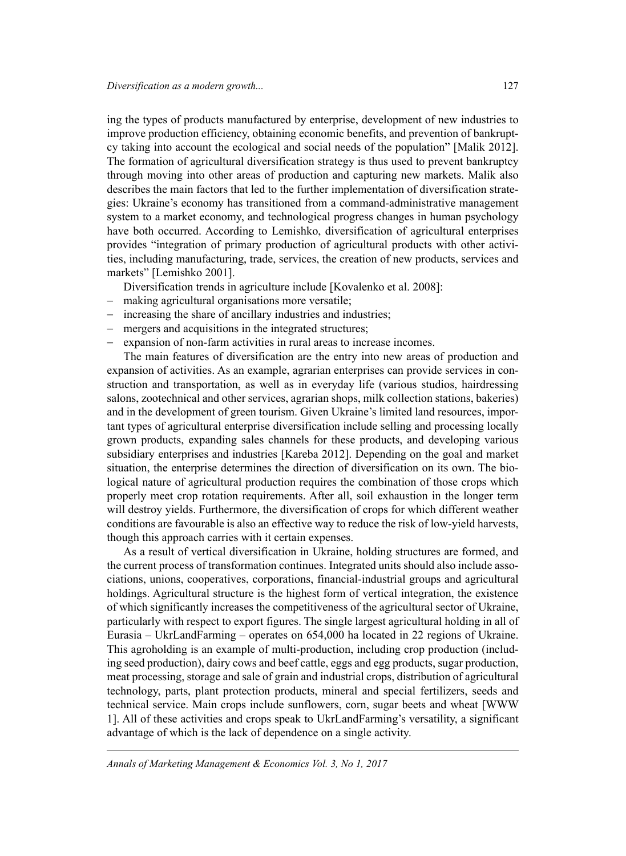ing the types of products manufactured by enterprise, development of new industries to improve production efficiency, obtaining economic benefits, and prevention of bankruptcy taking into account the ecological and social needs of the population" [Malik 2012]. The formation of agricultural diversification strategy is thus used to prevent bankruptcy through moving into other areas of production and capturing new markets. Malik also describes the main factors that led to the further implementation of diversification strategies: Ukraine's economy has transitioned from a command-administrative management system to a market economy, and technological progress changes in human psychology have both occurred. According to Lemishko, diversification of agricultural enterprises provides "integration of primary production of agricultural products with other activities, including manufacturing, trade, services, the creation of new products, services and markets" [Lemishko 2001].

Diversification trends in agriculture include [Kovalenko et al. 2008]:

- − making agricultural organisations more versatile;
- increasing the share of ancillary industries and industries;
- − mergers and acquisitions in the integrated structures;
- expansion of non-farm activities in rural areas to increase incomes.

The main features of diversification are the entry into new areas of production and expansion of activities. As an example, agrarian enterprises can provide services in construction and transportation, as well as in everyday life (various studios, hairdressing salons, zootechnical and other services, agrarian shops, milk collection stations, bakeries) and in the development of green tourism. Given Ukraine's limited land resources, important types of agricultural enterprise diversification include selling and processing locally grown products, expanding sales channels for these products, and developing various subsidiary enterprises and industries [Kareba 2012]. Depending on the goal and market situation, the enterprise determines the direction of diversification on its own. The biological nature of agricultural production requires the combination of those crops which properly meet crop rotation requirements. After all, soil exhaustion in the longer term will destroy yields. Furthermore, the diversification of crops for which different weather conditions are favourable is also an effective way to reduce the risk of low-yield harvests, though this approach carries with it certain expenses.

As a result of vertical diversification in Ukraine, holding structures are formed, and the current process of transformation continues. Integrated units should also include associations, unions, cooperatives, corporations, financial-industrial groups and agricultural holdings. Agricultural structure is the highest form of vertical integration, the existence of which significantly increases the competitiveness of the agricultural sector of Ukraine, particularly with respect to export figures. The single largest agricultural holding in all of Eurasia – UkrLandFarming – operates on 654,000 ha located in 22 regions of Ukraine. This agroholding is an example of multi-production, including crop production (including seed production), dairy cows and beef cattle, eggs and egg products, sugar production, meat processing, storage and sale of grain and industrial crops, distribution of agricultural technology, parts, plant protection products, mineral and special fertilizers, seeds and technical service. Main crops include sunflowers, corn, sugar beets and wheat [WWW 1]. All of these activities and crops speak to UkrLandFarming's versatility, a significant advantage of which is the lack of dependence on a single activity.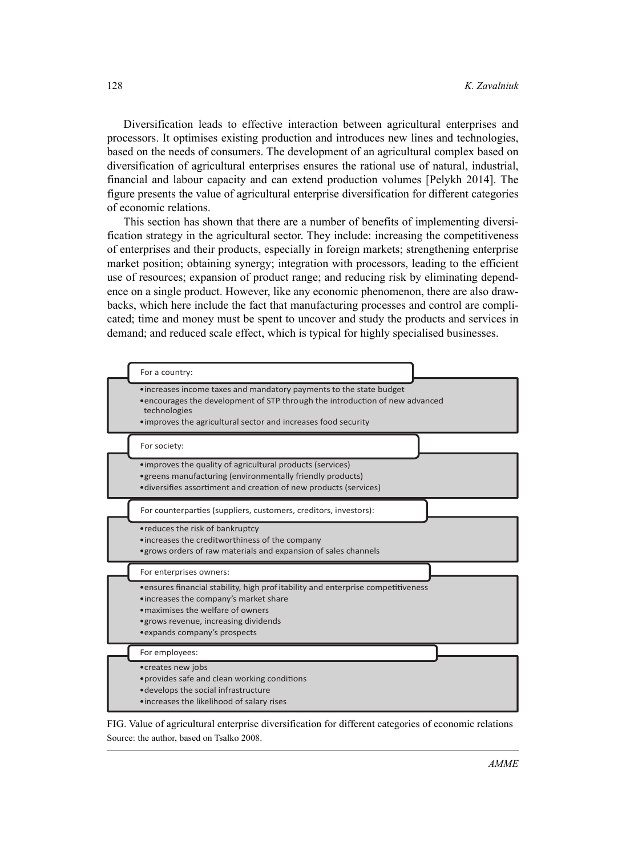Diversification leads to effective interaction between agricultural enterprises and processors. It optimises existing production and introduces new lines and technologies, based on the needs of consumers. The development of an agricultural complex based on diversification of agricultural enterprises ensures the rational use of natural, industrial, financial and labour capacity and can extend production volumes [Pelykh 2014]. The figure presents the value of agricultural enterprise diversification for different categories of economic relations.

This section has shown that there are a number of benefits of implementing diversification strategy in the agricultural sector. They include: increasing the competitiveness of enterprises and their products, especially in foreign markets; strengthening enterprise market position; obtaining synergy; integration with processors, leading to the efficient use of resources; expansion of product range; and reducing risk by eliminating dependence on a single product. However, like any economic phenomenon, there are also drawbacks, which here include the fact that manufacturing processes and control are complicated; time and money must be spent to uncover and study the products and services in demand; and reduced scale effect, which is typical for highly specialised businesses.



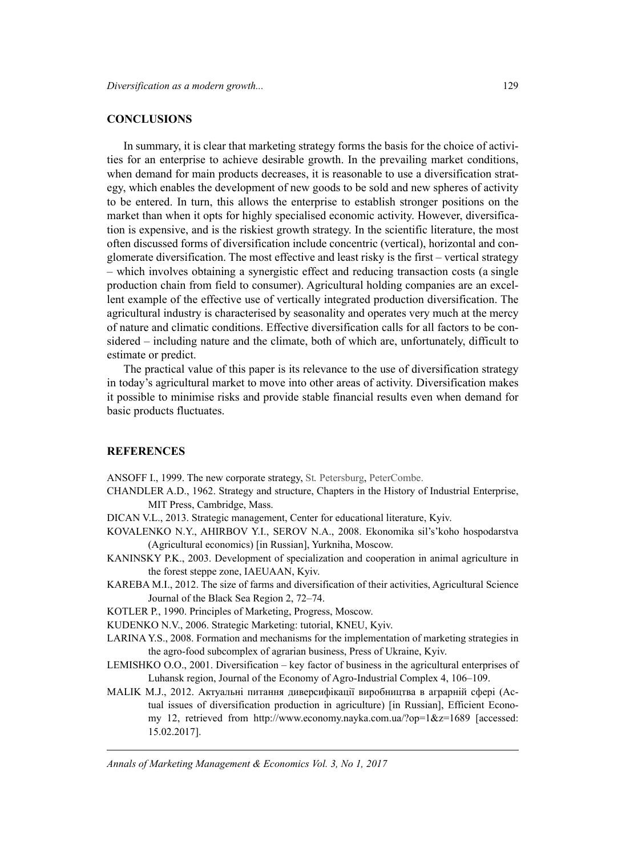#### **CONCLUSIONS**

In summary, it is clear that marketing strategy forms the basis for the choice of activities for an enterprise to achieve desirable growth. In the prevailing market conditions, when demand for main products decreases, it is reasonable to use a diversification strategy, which enables the development of new goods to be sold and new spheres of activity to be entered. In turn, this allows the enterprise to establish stronger positions on the market than when it opts for highly specialised economic activity. However, diversification is expensive, and is the riskiest growth strategy. In the scientific literature, the most often discussed forms of diversification include concentric (vertical), horizontal and conglomerate diversification. The most effective and least risky is the first – vertical strategy – which involves obtaining a synergistic effect and reducing transaction costs (a single production chain from field to consumer). Agricultural holding companies are an excellent example of the effective use of vertically integrated production diversification. The agricultural industry is characterised by seasonality and operates very much at the mercy of nature and climatic conditions. Effective diversification calls for all factors to be considered – including nature and the climate, both of which are, unfortunately, difficult to estimate or predict.

The practical value of this paper is its relevance to the use of diversification strategy in today's agricultural market to move into other areas of activity. Diversification makes it possible to minimise risks and provide stable financial results even when demand for basic products fluctuates.

## **REFERENCES**

ANSOFF I., 1999. The new corporate strategy, St*.* Petersburg, PeterCombe.

- CHANDLER A.D., 1962. Strategy and structure, Chapters in the History of Industrial Enterprise, MIT Press, Cambridge, Mass.
- DICAN V.L., 2013. Strategic management, Center for educational literature, Kyiv.
- KOVALENKO N.Y., AHIRBOV Y.I., SEROV N.A., 2008. Ekonomika sil's'koho hospodarstva (Agricultural economics) [in Russian], Yurkniha, Moscow.
- KANINSKY P.K., 2003. Development of specialization and cooperation in animal agriculture in the forest steppe zone, IAEUAAN, Kyiv.
- KAREBA M.I., 2012. The size of farms and diversification of their activities, Agricultural Science Journal of the Black Sea Region 2, 72–74.
- KOTLER P., 1990. Principles of Marketing, Progress, Moscow.
- KUDENKO N.V., 2006. Strategic Marketing: tutorial, KNEU, Kyiv.
- LARINA Y.S., 2008. Formation and mechanisms for the implementation of marketing strategies in the agro-food subcomplex of agrarian business, Press of Ukraine, Kyiv.
- LEMISHKO O.O., 2001. Diversification key factor of business in the agricultural enterprises of Luhansk region, Journal of the Economy of Agro-Industrial Complex 4, 106–109.
- MALIK M.J., 2012. Актуальні питання диверсифікації виробництва в аграрній сфері (Actual issues of diversification production in agriculture) [in Russian], Efficient Economy 12, retrieved from http://www.economy.nayka.com.ua/?op=1&z=1689 [accessed: 15.02.2017].

*Annals of Marketing Management & Economics Vol. 3, No 1, 2017*